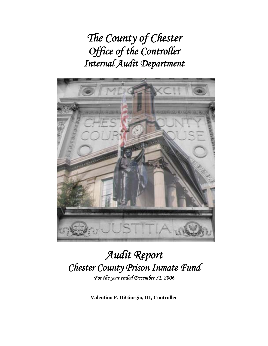*The County of Chester Office of the Controller Internal Audit Department*



## *Audit Report Chester County Prison Inmate Fund For the year ended December 31, 2006*

**Valentino F. DiGiorgio, III, Controller**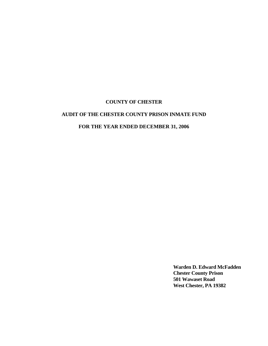## **AUDIT OF THE CHESTER COUNTY PRISON INMATE FUND**

## **FOR THE YEAR ENDED DECEMBER 31, 2006**

**Warden D. Edward McFadden Chester County Prison 501 Wawaset Road West Chester, PA 19382**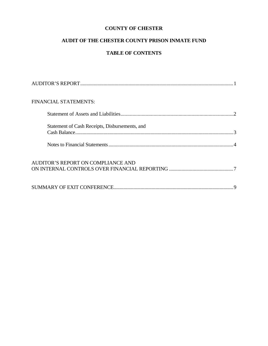## **AUDIT OF THE CHESTER COUNTY PRISON INMATE FUND**

## **TABLE OF CONTENTS**

| FINANCIAL STATEMENTS:                          |  |
|------------------------------------------------|--|
|                                                |  |
| Statement of Cash Receipts, Disbursements, and |  |
|                                                |  |
| AUDITOR'S REPORT ON COMPLIANCE AND             |  |
|                                                |  |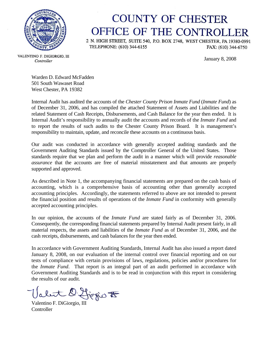

## **COUNTY OF CHESTER** OFFICE OF THE CONTROLLER

2 N. HIGH STREET, SUITE 540, P.O. BOX 2748, WEST CHESTER, PA 19380-0991 TELEPHONE: (610) 344-6155 FAX: (610) 344-6750

January 8, 2008

VALENTINO F. DIGIORGIO, III Controller

> Warden D. Edward McFadden 501 South Wawaset Road West Chester, PA 19382

Internal Audit has audited the accounts of the *Chester County Prison Inmate Fund* (*Inmate Fund*) as of December 31, 2006, and has compiled the attached Statement of Assets and Liabilities and the related Statement of Cash Receipts, Disbursements, and Cash Balance for the year then ended. It is Internal Audit's responsibility to annually audit the accounts and records of the *Inmate Fund* and to report the results of such audits to the Chester County Prison Board. It is management's responsibility to maintain, update, and reconcile these accounts on a continuous basis.

Our audit was conducted in accordance with generally accepted auditing standards and the Government Auditing Standards issued by the Comptroller General of the United States. Those standards require that we plan and perform the audit in a manner which will provide *reasonable assurance* that the accounts are free of material misstatement and that amounts are properly supported and approved.

As described in Note 1, the accompanying financial statements are prepared on the cash basis of accounting, which is a comprehensive basis of accounting other than generally accepted accounting principles. Accordingly, the statements referred to above are not intended to present the financial position and results of operations of the *Inmate Fund* in conformity with generally accepted accounting principles.

In our opinion, the accounts of the *Inmate Fund* are stated fairly as of December 31, 2006. Consequently, the corresponding financial statements prepared by Internal Audit present fairly, in all material respects, the assets and liabilities of the *Inmate Fund* as of December 31, 2006, and the cash receipts, disbursements, and cash balances for the year then ended.

In accordance with Government Auditing Standards, Internal Audit has also issued a report dated January 8, 2008, on our evaluation of the internal control over financial reporting and on our tests of compliance with certain provisions of laws, regulations, policies and/or procedures for the *Inmate Fund*. That report is an integral part of an audit performed in accordance with Government Auditing Standards and is to be read in conjunction with this report in considering the results of our audit.

Valentino F. DiGiorgio To

**Controller**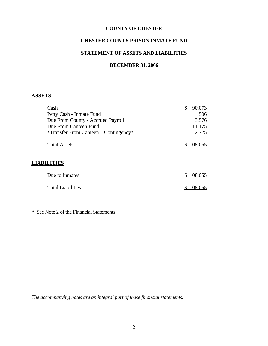#### **CHESTER COUNTY PRISON INMATE FUND**

## **STATEMENT OF ASSETS AND LIABILITIES**

#### **DECEMBER 31, 2006**

## **ASSETS**

| Cash                                        | \$<br>90,073  |
|---------------------------------------------|---------------|
| Petty Cash - Inmate Fund                    | 506           |
| Due From County - Accrued Payroll           | 3,576         |
| Due From Canteen Fund                       | 11,175        |
| $*$ Transfer From Canteen – Contingency $*$ | 2,725         |
| <b>Total Assets</b>                         | 108,055       |
| <b>LIABILITIES</b>                          |               |
| Due to Inmates                              | 108,055<br>S. |
| <b>Total Liabilities</b>                    | 08,055        |

\* See Note 2 of the Financial Statements

*The accompanying notes are an integral part of these financial statements.*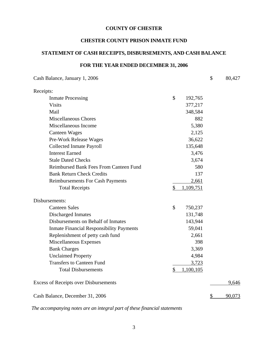## **CHESTER COUNTY PRISON INMATE FUND**

## **STATEMENT OF CASH RECEIPTS, DISBURSEMENTS, AND CASH BALANCE**

## **FOR THE YEAR ENDED DECEMBER 31, 2006**

| Cash Balance, January 1, 2006                   |           | \$<br>80,427 |
|-------------------------------------------------|-----------|--------------|
| Receipts:                                       |           |              |
| \$<br><b>Inmate Processing</b>                  | 192,765   |              |
| <b>Visits</b>                                   | 377,217   |              |
| Mail                                            | 348,584   |              |
| <b>Miscellaneous Chores</b>                     | 882       |              |
| Miscellaneous Income                            | 5,380     |              |
| <b>Canteen Wages</b>                            | 2,125     |              |
| Pre-Work Release Wages                          | 36,622    |              |
| <b>Collected Inmate Payroll</b>                 | 135,648   |              |
| <b>Interest Earned</b>                          | 3,476     |              |
| <b>Stale Dated Checks</b>                       | 3,674     |              |
| Reimbursed Bank Fees From Canteen Fund          | 580       |              |
| <b>Bank Return Check Credits</b>                | 137       |              |
| Reimbursements For Cash Payments                | 2,661     |              |
| \$<br><b>Total Receipts</b>                     | 1,109,751 |              |
| Disbursements:                                  |           |              |
| <b>Canteen Sales</b><br>\$                      | 750,237   |              |
| <b>Discharged Inmates</b>                       | 131,748   |              |
| Disbursements on Behalf of Inmates              | 143,944   |              |
| <b>Inmate Financial Responsibility Payments</b> | 59,041    |              |
| Replenishment of petty cash fund                | 2,661     |              |
| Miscellaneous Expenses                          | 398       |              |
| <b>Bank Charges</b>                             | 3,369     |              |
| <b>Unclaimed Property</b>                       | 4,984     |              |
| <b>Transfers to Canteen Fund</b>                | 3,723     |              |
| <b>Total Disbursements</b><br>\$                | 1,100,105 |              |
| <b>Excess of Receipts over Disbursements</b>    |           | 9,646        |
| Cash Balance, December 31, 2006                 |           | \$<br>90,073 |

*The accompanying notes are an integral part of these financial statements*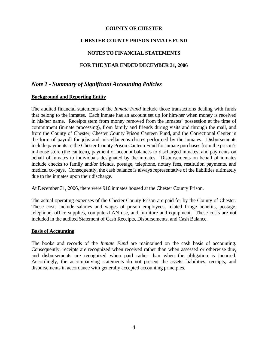#### **CHESTER COUNTY PRISON INMATE FUND**

#### **NOTES TO FINANCIAL STATEMENTS**

#### **FOR THE YEAR ENDED DECEMBER 31, 2006**

## *Note 1 - Summary of Significant Accounting Policies*

#### **Background and Reporting Entity**

The audited financial statements of the *Inmate Fund* include those transactions dealing with funds that belong to the inmates. Each inmate has an account set up for him/her when money is received in his/her name. Receipts stem from money removed from the inmates' possession at the time of commitment (inmate processing), from family and friends during visits and through the mail, and from the County of Chester, Chester County Prison Canteen Fund, and the Correctional Center in the form of payroll for jobs and miscellaneous chores performed by the inmates. Disbursements include payments to the Chester County Prison Canteen Fund for inmate purchases from the prison's in-house store (the canteen), payment of account balances to discharged inmates, and payments on behalf of inmates to individuals designated by the inmates. Disbursements on behalf of inmates include checks to family and/or friends, postage, telephone, notary fees, restitution payments, and medical co-pays. Consequently, the cash balance is always representative of the liabilities ultimately due to the inmates upon their discharge.

At December 31, 2006, there were 916 inmates housed at the Chester County Prison.

The actual operating expenses of the Chester County Prison are paid for by the County of Chester. These costs include salaries and wages of prison employees, related fringe benefits, postage, telephone, office supplies, computer/LAN use, and furniture and equipment. These costs are not included in the audited Statement of Cash Receipts, Disbursements, and Cash Balance.

#### **Basis of Accounting**

The books and records of the *Inmate Fund* are maintained on the cash basis of accounting. Consequently, receipts are recognized when received rather than when assessed or otherwise due, and disbursements are recognized when paid rather than when the obligation is incurred. Accordingly, the accompanying statements do not present the assets, liabilities, receipts, and disbursements in accordance with generally accepted accounting principles.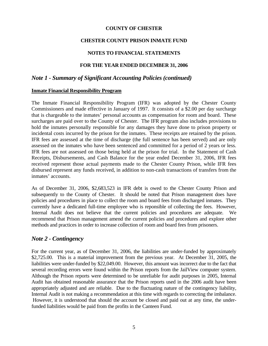#### **CHESTER COUNTY PRISON INMATE FUND**

## **NOTES TO FINANCIAL STATEMENTS**

#### **FOR THE YEAR ENDED DECEMBER 31, 2006**

## *Note 1 - Summary of Significant Accounting Policies (continued)*

#### **Inmate Financial Responsibility Program**

The Inmate Financial Responsibility Program (IFR) was adopted by the Chester County Commissioners and made effective in January of 1997. It consists of a \$2.00 per day surcharge that is chargeable to the inmates' personal accounts as compensation for room and board. These surcharges are paid over to the County of Chester. The IFR program also includes provisions to hold the inmates personally responsible for any damages they have done to prison property or incidental costs incurred by the prison for the inmates. These receipts are retained by the prison. IFR fees are assessed at the time of discharge (the full sentence has been served) and are only assessed on the inmates who have been sentenced and committed for a period of 2 years or less. IFR fees are not assessed on those being held at the prison for trial. In the Statement of Cash Receipts, Disbursements, and Cash Balance for the year ended December 31, 2006, IFR fees received represent those actual payments made to the Chester County Prison, while IFR fees disbursed represent any funds received, in addition to non-cash transactions of transfers from the inmates' accounts.

As of December 31, 2006, \$2,683,523 in IFR debt is owed to the Chester County Prison and subsequently to the County of Chester. It should be noted that Prison management does have policies and procedures in place to collect the room and board fees from discharged inmates. They currently have a dedicated full-time employee who is reponsible of collecting the fees. However, Internal Audit does not believe that the current policies and procedures are adequate. We recommend that Prison management amend the current policies and procedures and explore other methods and practices in order to increase collection of room and board fees from prisoners.

## *Note 2 - Contingency*

For the current year, as of December 31, 2006, the liabilities are under-funded by approximately \$2,725.00. This is a material improvement from the previous year. At December 31, 2005, the liabilities were under-funded by \$22,049.00. However, this amount was incorrect due to the fact that several recording errors were found within the Prison reports from the JailView computer system. Although the Prison reports were determined to be unreliable for audit purposes in 2005, Internal Audit has obtained reasonable assurance that the Prison reports used in the 2006 audit have been appropriately adjusted and are reliable. Due to the fluctuating nature of the contingency liability, Internal Audit is not making a recommendation at this time with regards to correcting the imbalance. However, it is understood that should the account be closed and paid out at any time, the underfunded liabilities would be paid from the profits in the Canteen Fund.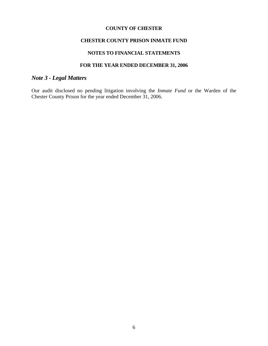#### **CHESTER COUNTY PRISON INMATE FUND**

## **NOTES TO FINANCIAL STATEMENTS**

## **FOR THE YEAR ENDED DECEMBER 31, 2006**

## *Note 3 - Legal Matters*

Our audit disclosed no pending litigation involving the *Inmate Fund* or the Warden of the Chester County Prison for the year ended December 31, 2006.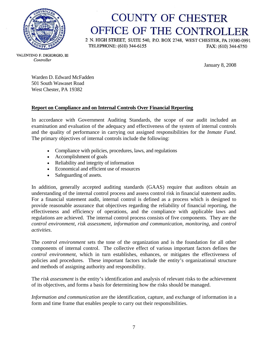

# **COUNTY OF CHESTER** OFFICE OF THE CONTROLLER

2 N. HIGH STREET, SUITE 540, P.O. BOX 2748, WEST CHESTER, PA 19380-0991 TELEPHONE: (610) 344-6155 FAX: (610) 344-6750

VALENTINO F. DIGIORGIO, III Controller

January 8, 2008

Warden D. Edward McFadden 501 South Wawaset Road West Chester, PA 19382

## **Report on Compliance and on Internal Controls Over Financial Reporting**

In accordance with Government Auditing Standards, the scope of our audit included an examination and evaluation of the adequacy and effectiveness of the system of internal controls and the quality of performance in carrying out assigned responsibilities for the *Inmate Fund*. The primary objectives of internal controls include the following:

- Compliance with policies, procedures, laws, and regulations
- Accomplishment of goals
- Reliability and integrity of information
- Economical and efficient use of resources
- Safeguarding of assets.

In addition, generally accepted auditing standards (GAAS) require that auditors obtain an understanding of the internal control process and assess control risk in financial statement audits. For a financial statement audit, internal control is defined as a process which is designed to provide reasonable assurance that objectives regarding the reliability of financial reporting, the effectiveness and efficiency of operations, and the compliance with applicable laws and regulations are achieved. The internal control process consists of five components. They are the *control environment*, *risk assessment*, *information and communication*, *monitoring*, and *control activities*.

The *control environment* sets the tone of the organization and is the foundation for all other components of internal control. The collective effect of various important factors defines the *control environment*, which in turn establishes, enhances, or mitigates the effectiveness of policies and procedures. These important factors include the entity's organizational structure and methods of assigning authority and responsibility.

The *risk assessment* is the entity's identification and analysis of relevant risks to the achievement of its objectives, and forms a basis for determining how the risks should be managed.

*Information and communication* are the identification, capture, and exchange of information in a form and time frame that enables people to carry out their responsibilities.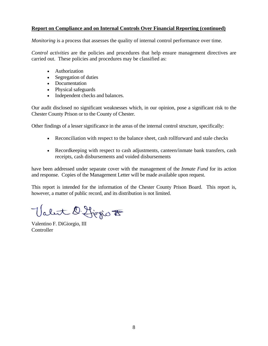#### **Report on Compliance and on Internal Controls Over Financial Reporting (continued)**

*Monitoring* is a process that assesses the quality of internal control performance over time.

*Control activities* are the policies and procedures that help ensure management directives are carried out. These policies and procedures may be classified as:

- Authorization
- Segregation of duties
- Documentation
- Physical safeguards
- Independent checks and balances.

Our audit disclosed no significant weaknesses which, in our opinion, pose a significant risk to the Chester County Prison or to the County of Chester.

Other findings of a lesser significance in the areas of the internal control structure, specifically:

- Reconciliation with respect to the balance sheet, cash rollforward and stale checks
- Record keeping with respect to cash adjustments, canteen/inmate bank transfers, cash receipts, cash disbursements and voided disbursements

have been addressed under separate cover with the management of the *Inmate Fund* for its action and response. Copies of the Management Letter will be made available upon request.

This report is intended for the information of the Chester County Prison Board. This report is, however, a matter of public record, and its distribution is not limited.

Valet D. Ljegio to

Valentino F. DiGiorgio, III **Controller**